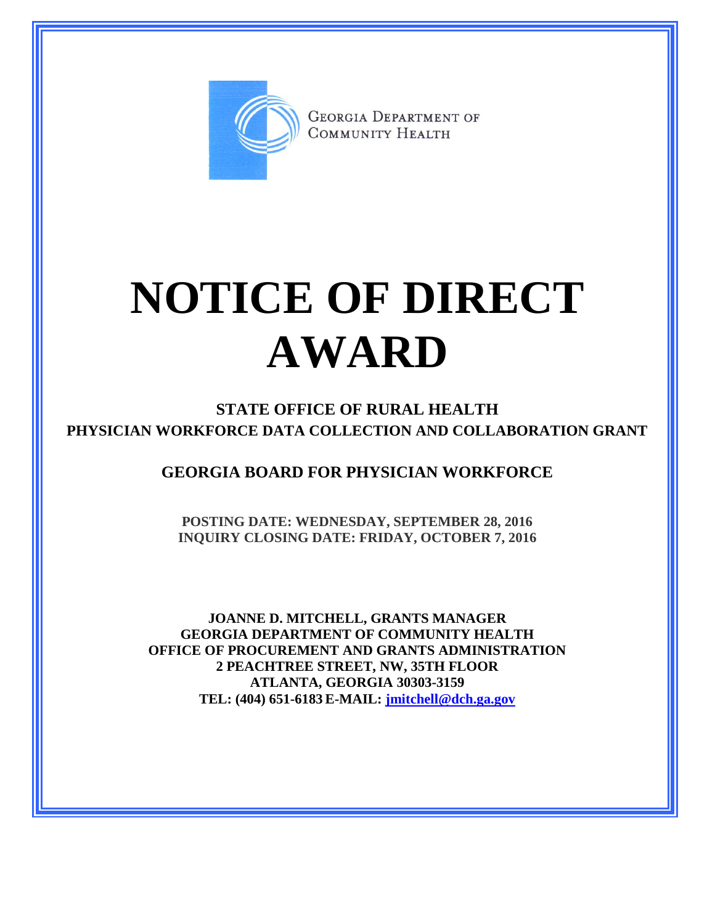

**GEORGIA DEPARTMENT OF** COMMUNITY HEALTH

## **NOTICE OF DIRECT AWARD**

**STATE OFFICE OF RURAL HEALTH PHYSICIAN WORKFORCE DATA COLLECTION AND COLLABORATION GRANT**

**GEORGIA BOARD FOR PHYSICIAN WORKFORCE**

**POSTING DATE: WEDNESDAY, SEPTEMBER 28, 2016 INQUIRY CLOSING DATE: FRIDAY, OCTOBER 7, 2016**

**JOANNE D. MITCHELL, GRANTS MANAGER GEORGIA DEPARTMENT OF COMMUNITY HEALTH OFFICE OF PROCUREMENT AND GRANTS ADMINISTRATION 2 PEACHTREE STREET, NW, 35TH FLOOR ATLANTA, GEORGIA 30303-3159 TEL: (404) 651-6183 E-MAIL: [jmitchell@dch.ga.gov](mailto:awatson@dch.ga.gov)**